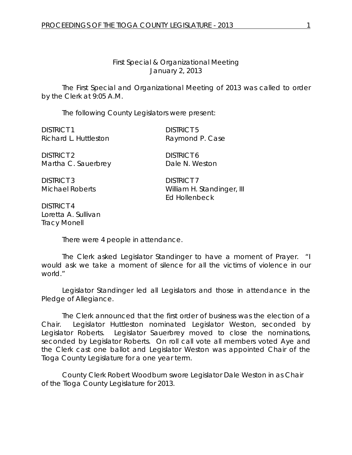## *First Special & Organizational Meeting* January 2, 2013

The First Special and Organizational Meeting of 2013 was called to order by the Clerk at 9:05 A.M.

The following County Legislators were present:

DISTRICT 1 DISTRICT 5 Richard L. Huttleston Raymond P. Case

DISTRICT 2 DISTRICT 6 Martha C. Sauerbrey Dale N. Weston

DISTRICT 3 DISTRICT 7

DISTRICT 4 Loretta A. Sullivan Tracy Monell

Michael Roberts William H. Standinger, III Ed Hollenbeck

There were 4 people in attendance.

The Clerk asked Legislator Standinger to have a moment of Prayer. "I would ask we take a moment of silence for all the victims of violence in our world."

Legislator Standinger led all Legislators and those in attendance in the Pledge of Allegiance.

The Clerk announced that the first order of business was the election of a Chair. Legislator Huttleston nominated Legislator Weston, seconded by Legislator Roberts. Legislator Sauerbrey moved to close the nominations, seconded by Legislator Roberts. On roll call vote all members voted Aye and the Clerk cast one ballot and Legislator Weston was appointed Chair of the Tioga County Legislature for a one year term.

County Clerk Robert Woodburn swore Legislator Dale Weston in as Chair of the Tioga County Legislature for 2013.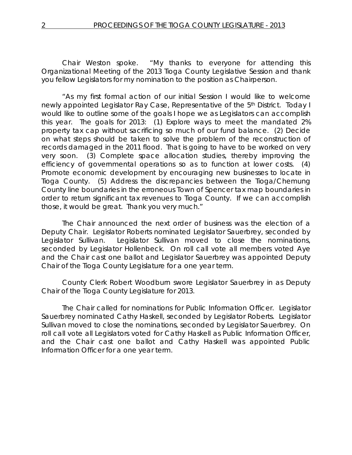Chair Weston spoke. "My thanks to everyone for attending this Organizational Meeting of the 2013 Tioga County Legislative Session and thank you fellow Legislators for my nomination to the position as Chairperson.

"As my first formal action of our initial Session I would like to welcome newly appointed Legislator Ray Case, Representative of the 5<sup>th</sup> District. Today I would like to outline some of the goals I hope we as Legislators can accomplish this year. The goals for 2013: (1) Explore ways to meet the mandated 2% property tax cap without sacrificing so much of our fund balance. (2) Decide on what steps should be taken to solve the problem of the reconstruction of records damaged in the 2011 flood. That is going to have to be worked on very very soon. (3) Complete space allocation studies, thereby improving the efficiency of governmental operations so as to function at lower costs. (4) Promote economic development by encouraging new businesses to locate in Tioga County. (5) Address the discrepancies between the Tioga/Chemung County line boundaries in the erroneous Town of Spencer tax map boundaries in order to return significant tax revenues to Tioga County. If we can accomplish those, it would be great. Thank you very much."

The Chair announced the next order of business was the election of a Deputy Chair. Legislator Roberts nominated Legislator Sauerbrey, seconded by Legislator Sullivan. Legislator Sullivan moved to close the nominations, seconded by Legislator Hollenbeck. On roll call vote all members voted Aye and the Chair cast one ballot and Legislator Sauerbrey was appointed Deputy Chair of the Tioga County Legislature for a one year term.

County Clerk Robert Woodburn swore Legislator Sauerbrey in as Deputy Chair of the Tioga County Legislature for 2013.

The Chair called for nominations for Public Information Officer. Legislator Sauerbrey nominated Cathy Haskell, seconded by Legislator Roberts. Legislator Sullivan moved to close the nominations, seconded by Legislator Sauerbrey. On roll call vote all Legislators voted for Cathy Haskell as Public Information Officer, and the Chair cast one ballot and Cathy Haskell was appointed Public Information Officer for a one year term.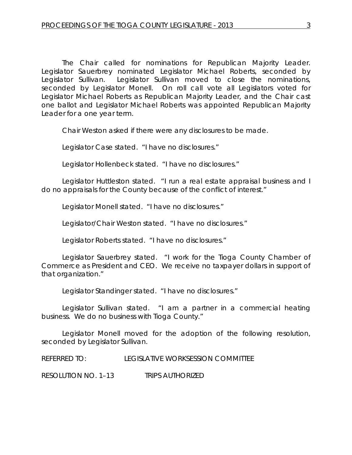The Chair called for nominations for Republican Majority Leader. Legislator Sauerbrey nominated Legislator Michael Roberts, seconded by Legislator Sullivan. Legislator Sullivan moved to close the nominations, seconded by Legislator Monell. On roll call vote all Legislators voted for Legislator Michael Roberts as Republican Majority Leader, and the Chair cast one ballot and Legislator Michael Roberts was appointed Republican Majority Leader for a one year term.

Chair Weston asked if there were any disclosures to be made.

Legislator Case stated. "I have no disclosures."

Legislator Hollenbeck stated. "I have no disclosures."

Legislator Huttleston stated. "I run a real estate appraisal business and I do no appraisals for the County because of the conflict of interest."

Legislator Monell stated. "I have no disclosures."

Legislator/Chair Weston stated. "I have no disclosures."

Legislator Roberts stated. "I have no disclosures."

Legislator Sauerbrey stated. "I work for the Tioga County Chamber of Commerce as President and CEO. We receive no taxpayer dollars in support of that organization."

Legislator Standinger stated. "I have no disclosures."

Legislator Sullivan stated. "I am a partner in a commercial heating business. We do no business with Tioga County."

Legislator Monell moved for the adoption of the following resolution, seconded by Legislator Sullivan.

REFERRED TO: LEGISLATIVE WORKSESSION COMMITTEE

RESOLUTION NO. 1–13 *TRIPS AUTHORIZED*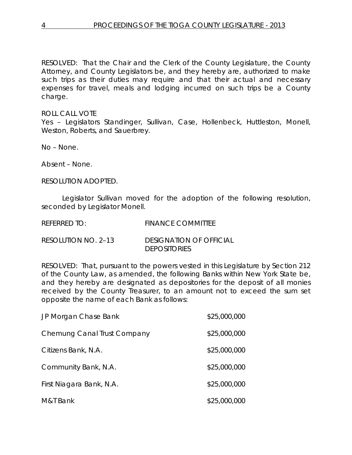RESOLVED: That the Chair and the Clerk of the County Legislature, the County Attorney, and County Legislators be, and they hereby are, authorized to make such trips as their duties may require and that their actual and necessary expenses for travel, meals and lodging incurred on such trips be a County charge.

ROLL CALL VOTE Yes – Legislators Standinger, Sullivan, Case, Hollenbeck, Huttleston, Monell, Weston, Roberts, and Sauerbrey.

No – None.

Absent – None.

RESOLUTION ADOPTED.

Legislator Sullivan moved for the adoption of the following resolution, seconded by Legislator Monell.

| referred to:        | <b>FINANCE COMMITTEE</b>                              |
|---------------------|-------------------------------------------------------|
| RESOLUTION NO. 2–13 | <b>DESIGNATION OF OFFICIAL</b><br><b>DEPOSITORIES</b> |

RESOLVED: That, pursuant to the powers vested in this Legislature by Section 212 of the County Law, as amended, the following Banks within New York State be, and they hereby are designated as depositories for the deposit of all monies received by the County Treasurer, to an amount not to exceed the sum set opposite the name of each Bank as follows:

| JP Morgan Chase Bank        | \$25,000,000 |
|-----------------------------|--------------|
| Chemung Canal Trust Company | \$25,000,000 |
| Citizens Bank, N.A.         | \$25,000,000 |
| Community Bank, N.A.        | \$25,000,000 |
| First Niagara Bank, N.A.    | \$25,000,000 |
| M&T Bank                    | \$25,000,000 |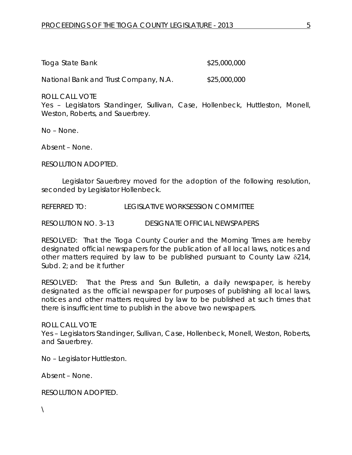| Tioga State Bank | \$25,000,000 |
|------------------|--------------|
|------------------|--------------|

National Bank and Trust Company, N.A. \$25,000,000

ROLL CALL VOTE

Yes – Legislators Standinger, Sullivan, Case, Hollenbeck, Huttleston, Monell, Weston, Roberts, and Sauerbrey.

No – None.

Absent – None.

RESOLUTION ADOPTED.

Legislator Sauerbrey moved for the adoption of the following resolution, seconded by Legislator Hollenbeck.

REFERRED TO: LEGISLATIVE WORKSESSION COMMITTEE

RESOLUTION NO. 3–13 *DESIGNATE OFFICIAL NEWSPAPERS*

RESOLVED: That the Tioga County Courier and the Morning Times are hereby designated official newspapers for the publication of all local laws, notices and other matters required by law to be published pursuant to County Law δ214, Subd. 2; and be it further

RESOLVED: That the Press and Sun Bulletin, a daily newspaper, is hereby designated as the official newspaper for purposes of publishing all local laws, notices and other matters required by law to be published at such times that there is insufficient time to publish in the above two newspapers.

ROLL CALL VOTE Yes – Legislators Standinger, Sullivan, Case, Hollenbeck, Monell, Weston, Roberts, and Sauerbrey.

No – Legislator Huttleston.

Absent – None.

RESOLUTION ADOPTED.

 $\setminus$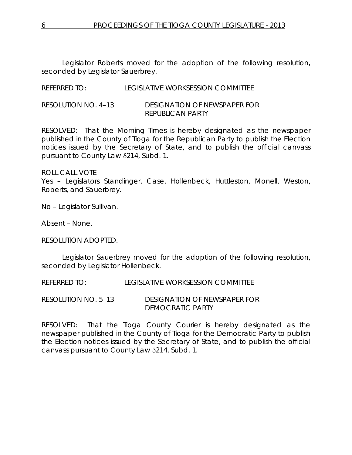Legislator Roberts moved for the adoption of the following resolution, seconded by Legislator Sauerbrey.

REFERRED TO: LEGISLATIVE WORKSESSION COMMITTEE

RESOLUTION NO. 4–13 *DESIGNATION OF NEWSPAPER FOR REPUBLICAN PARTY*

RESOLVED: That the Morning Times is hereby designated as the newspaper published in the County of Tioga for the Republican Party to publish the Election notices issued by the Secretary of State, and to publish the official canvass pursuant to County Law δ214, Subd. 1.

ROLL CALL VOTE

Yes – Legislators Standinger, Case, Hollenbeck, Huttleston, Monell, Weston, Roberts, and Sauerbrey.

No – Legislator Sullivan.

Absent – None.

RESOLUTION ADOPTED.

Legislator Sauerbrey moved for the adoption of the following resolution, seconded by Legislator Hollenbeck.

REFERRED TO: LEGISLATIVE WORKSESSION COMMITTEE

RESOLUTION NO. 5–13 *DESIGNATION OF NEWSPAPER FOR DEMOCRATIC PARTY*

RESOLVED: That the Tioga County Courier is hereby designated as the newspaper published in the County of Tioga for the Democratic Party to publish the Election notices issued by the Secretary of State, and to publish the official canvass pursuant to County Law δ214, Subd. 1.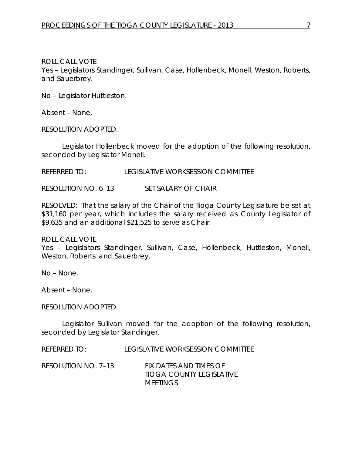ROLL CALL VOTE Yes – Legislators Standinger, Sullivan, Case, Hollenbeck, Monell, Weston, Roberts, and Sauerbrey.

No – Legislator Huttleston.

Absent – None.

RESOLUTION ADOPTED.

Legislator Hollenbeck moved for the adoption of the following resolution, seconded by Legislator Monell.

REFERRED TO: LEGISLATIVE WORKSESSION COMMITTEE

RESOLUTION NO. 6–13 *SET SALARY OF CHAIR*

RESOLVED: That the salary of the Chair of the Tioga County Legislature be set at \$31,160 per year, which includes the salary received as County Legislator of \$9,635 and an additional \$21,525 to serve as Chair.

ROLL CALL VOTE Yes – Legislators Standinger, Sullivan, Case, Hollenbeck, Huttleston, Monell, Weston, Roberts, and Sauerbrey.

No – None.

Absent – None.

RESOLUTION ADOPTED.

Legislator Sullivan moved for the adoption of the following resolution, seconded by Legislator Standinger.

REFERRED TO: LEGISLATIVE WORKSESSION COMMITTEE

RESOLUTION NO. 7–13 *FIX DATES AND TIMES OF TIOGA COUNTY LEGISLATIVE MEETINGS*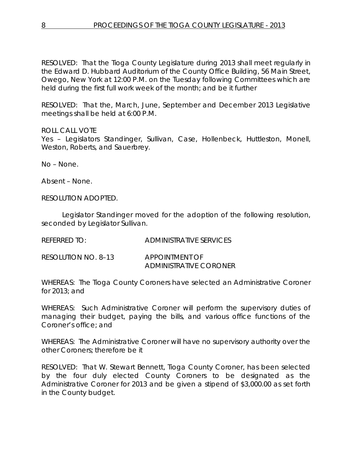RESOLVED: That the Tioga County Legislature during 2013 shall meet regularly in the Edward D. Hubbard Auditorium of the County Office Building, 56 Main Street, Owego, New York at 12:00 P.M. on the Tuesday following Committees which are held during the first full work week of the month; and be it further

RESOLVED: That the, March, June, September and December 2013 Legislative meetings shall be held at 6:00 P.M.

ROLL CALL VOTE

Yes - Legislators Standinger, Sullivan, Case, Hollenbeck, Huttleston, Monell, Weston, Roberts, and Sauerbrey.

No – None.

Absent – None.

RESOLUTION ADOPTED.

Legislator Standinger moved for the adoption of the following resolution, seconded by Legislator Sullivan.

REFERRED TO: ADMINISTRATIVE SERVICES

RESOLUTION NO. 8–13 *APPOINTMENT OF ADMINISTRATIVE CORONER*

WHEREAS: The Tioga County Coroners have selected an Administrative Coroner for 2013; and

WHEREAS: Such Administrative Coroner will perform the supervisory duties of managing their budget, paying the bills, and various office functions of the Coroner's office; and

WHEREAS: The Administrative Coroner will have no supervisory authority over the other Coroners; therefore be it

RESOLVED: That W. Stewart Bennett, Tioga County Coroner, has been selected by the four duly elected County Coroners to be designated as the Administrative Coroner for 2013 and be given a stipend of \$3,000.00 as set forth in the County budget.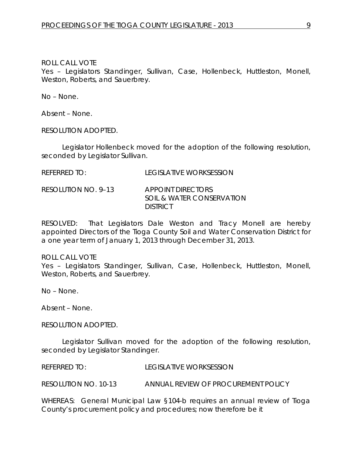#### ROLL CALL VOTE

Yes – Legislators Standinger, Sullivan, Case, Hollenbeck, Huttleston, Monell, Weston, Roberts, and Sauerbrey.

No – None.

Absent – None.

RESOLUTION ADOPTED.

Legislator Hollenbeck moved for the adoption of the following resolution, seconded by Legislator Sullivan.

| <b>REFERRED TO:</b> | <b>LEGISLATIVE WORKSESSION</b> |
|---------------------|--------------------------------|
|                     |                                |

### RESOLUTION NO. 9–13 *APPOINT DIRECTORS SOIL & WATER CONSERVATION DISTRICT*

RESOLVED: That Legislators Dale Weston and Tracy Monell are hereby appointed Directors of the Tioga County Soil and Water Conservation District for a one year term of January 1, 2013 through December 31, 2013.

### ROLL CALL VOTE

Yes - Legislators Standinger, Sullivan, Case, Hollenbeck, Huttleston, Monell, Weston, Roberts, and Sauerbrey.

No – None.

Absent – None.

RESOLUTION ADOPTED.

Legislator Sullivan moved for the adoption of the following resolution, seconded by Legislator Standinger.

REFERRED TO: LEGISLATIVE WORKSESSION

RESOLUTION NO. 10-13 *ANNUAL REVIEW OF PROCUREMENT POLICY*

WHEREAS: General Municipal Law §104-b requires an annual review of Tioga County's procurement policy and procedures; now therefore be it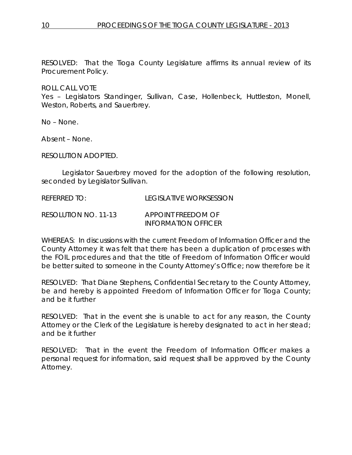RESOLVED: That the Tioga County Legislature affirms its annual review of its Procurement Policy.

ROLL CALL VOTE

Yes – Legislators Standinger, Sullivan, Case, Hollenbeck, Huttleston, Monell, Weston, Roberts, and Sauerbrey.

No – None.

Absent – None.

RESOLUTION ADOPTED.

Legislator Sauerbrey moved for the adoption of the following resolution, seconded by Legislator Sullivan.

REFERRED TO: LEGISLATIVE WORKSESSION

RESOLUTION NO. 11-13 *APPOINT FREEDOM OF INFORMATION OFFICER*

WHEREAS: In discussions with the current Freedom of Information Officer and the County Attorney it was felt that there has been a duplication of processes with the FOIL procedures and that the title of Freedom of Information Officer would be better suited to someone in the County Attorney's Office; now therefore be it

RESOLVED: That Diane Stephens, Confidential Secretary to the County Attorney, be and hereby is appointed Freedom of Information Officer for Tioga County; and be it further

RESOLVED: That in the event she is unable to act for any reason, the County Attorney or the Clerk of the Legislature is hereby designated to act in her stead; and be it further

RESOLVED: That in the event the Freedom of Information Officer makes a personal request for information, said request shall be approved by the County Attorney.